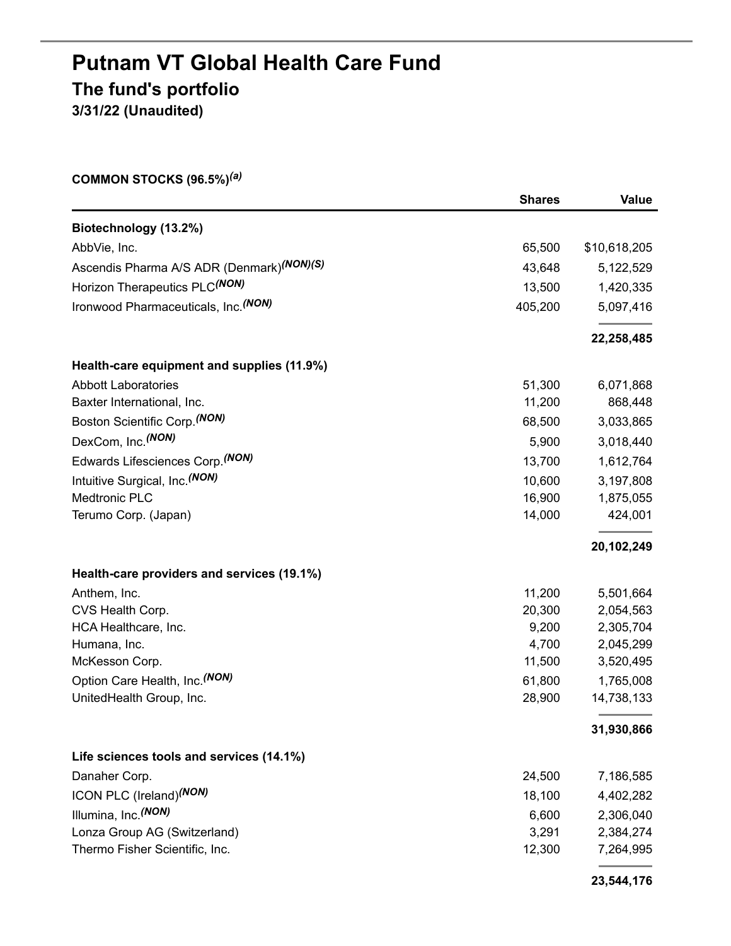## **Putnam VT Global Health Care Fund The fund's portfolio 3/31/22 (Unaudited)**

**COMMON STOCKS (96.5%)** *(a)*

|                                            | <b>Shares</b> | Value        |
|--------------------------------------------|---------------|--------------|
| Biotechnology (13.2%)                      |               |              |
| AbbVie, Inc.                               | 65,500        | \$10,618,205 |
| Ascendis Pharma A/S ADR (Denmark)(NON)(S)  | 43,648        | 5,122,529    |
| Horizon Therapeutics PLC(NON)              | 13,500        | 1,420,335    |
| Ironwood Pharmaceuticals, Inc. (NON)       | 405,200       | 5,097,416    |
|                                            |               | 22,258,485   |
| Health-care equipment and supplies (11.9%) |               |              |
| <b>Abbott Laboratories</b>                 | 51,300        | 6,071,868    |
| Baxter International, Inc.                 | 11,200        | 868,448      |
| Boston Scientific Corp. (NON)              | 68,500        | 3,033,865    |
| DexCom, Inc. (NON)                         | 5,900         | 3,018,440    |
| Edwards Lifesciences Corp. (NON)           | 13,700        | 1,612,764    |
| Intuitive Surgical, Inc. (NON)             | 10,600        | 3,197,808    |
| Medtronic PLC                              | 16,900        | 1,875,055    |
| Terumo Corp. (Japan)                       | 14,000        | 424,001      |
|                                            |               | 20,102,249   |
| Health-care providers and services (19.1%) |               |              |
| Anthem, Inc.                               | 11,200        | 5,501,664    |
| CVS Health Corp.                           | 20,300        | 2,054,563    |
| HCA Healthcare, Inc.                       | 9,200         | 2,305,704    |
| Humana, Inc.                               | 4,700         | 2,045,299    |
| McKesson Corp.                             | 11,500        | 3,520,495    |
| Option Care Health, Inc. (NON)             | 61,800        | 1,765,008    |
| UnitedHealth Group, Inc.                   | 28,900        | 14,738,133   |
|                                            |               | 31,930,866   |
| Life sciences tools and services (14.1%)   |               |              |
| Danaher Corp.                              | 24,500        | 7,186,585    |
| ICON PLC (Ireland) <sup>(NON)</sup>        | 18,100        | 4,402,282    |
| Illumina, Inc. (NON)                       | 6,600         | 2,306,040    |
| Lonza Group AG (Switzerland)               | 3,291         | 2,384,274    |
| Thermo Fisher Scientific, Inc.             | 12,300        | 7,264,995    |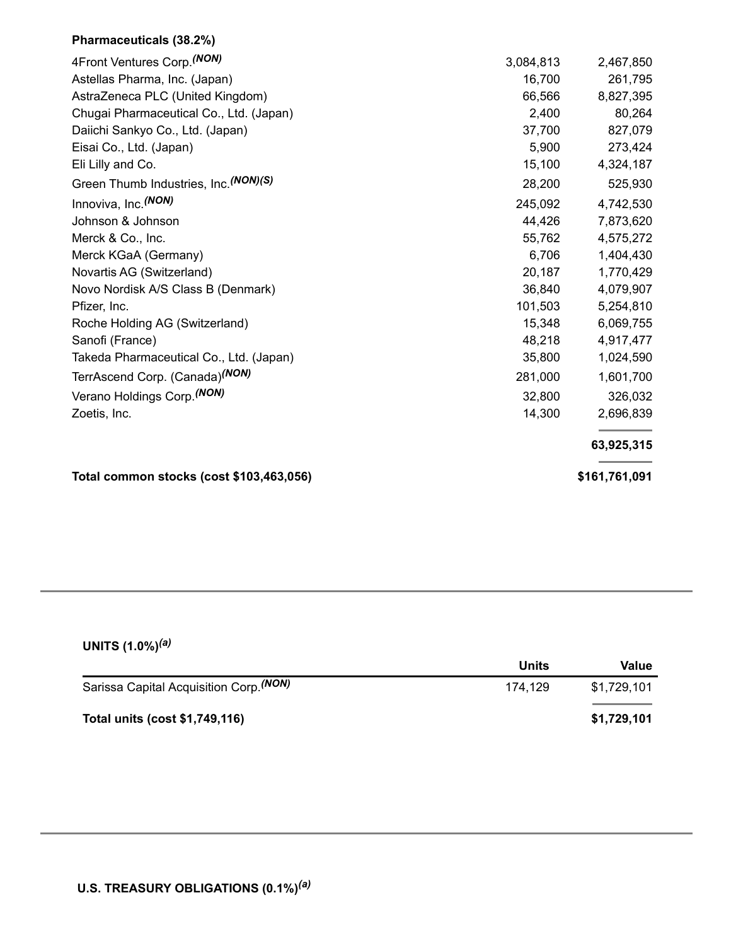### **Pharmaceuticals (38.2%)**

| 4Front Ventures Corp. (NON)                | 3,084,813 | 2,467,850     |
|--------------------------------------------|-----------|---------------|
| Astellas Pharma, Inc. (Japan)              | 16,700    | 261,795       |
| AstraZeneca PLC (United Kingdom)           | 66,566    | 8,827,395     |
| Chugai Pharmaceutical Co., Ltd. (Japan)    | 2,400     | 80,264        |
| Daiichi Sankyo Co., Ltd. (Japan)           | 37,700    | 827,079       |
| Eisai Co., Ltd. (Japan)                    | 5,900     | 273,424       |
| Eli Lilly and Co.                          | 15,100    | 4,324,187     |
| Green Thumb Industries, Inc. (NON)(S)      | 28,200    | 525,930       |
| Innoviva, Inc. (NON)                       | 245,092   | 4,742,530     |
| Johnson & Johnson                          | 44,426    | 7,873,620     |
| Merck & Co., Inc.                          | 55,762    | 4,575,272     |
| Merck KGaA (Germany)                       | 6,706     | 1,404,430     |
| Novartis AG (Switzerland)                  | 20,187    | 1,770,429     |
| Novo Nordisk A/S Class B (Denmark)         | 36,840    | 4,079,907     |
| Pfizer, Inc.                               | 101,503   | 5,254,810     |
| Roche Holding AG (Switzerland)             | 15,348    | 6,069,755     |
| Sanofi (France)                            | 48,218    | 4,917,477     |
| Takeda Pharmaceutical Co., Ltd. (Japan)    | 35,800    | 1,024,590     |
| TerrAscend Corp. (Canada) <sup>(NON)</sup> | 281,000   | 1,601,700     |
| Verano Holdings Corp. (NON)                | 32,800    | 326,032       |
| Zoetis, Inc.                               | 14,300    | 2,696,839     |
|                                            |           | 63,925,315    |
| Total common stocks (cost \$103,463,056)   |           | \$161,761,091 |

#### **UNITS (1.0%)** *(a)*

|                                                    | Units   | Value       |
|----------------------------------------------------|---------|-------------|
| Sarissa Capital Acquisition Corp. <sup>(NON)</sup> | 174.129 | \$1.729.101 |
| Total units (cost \$1,749,116)                     |         | \$1,729,101 |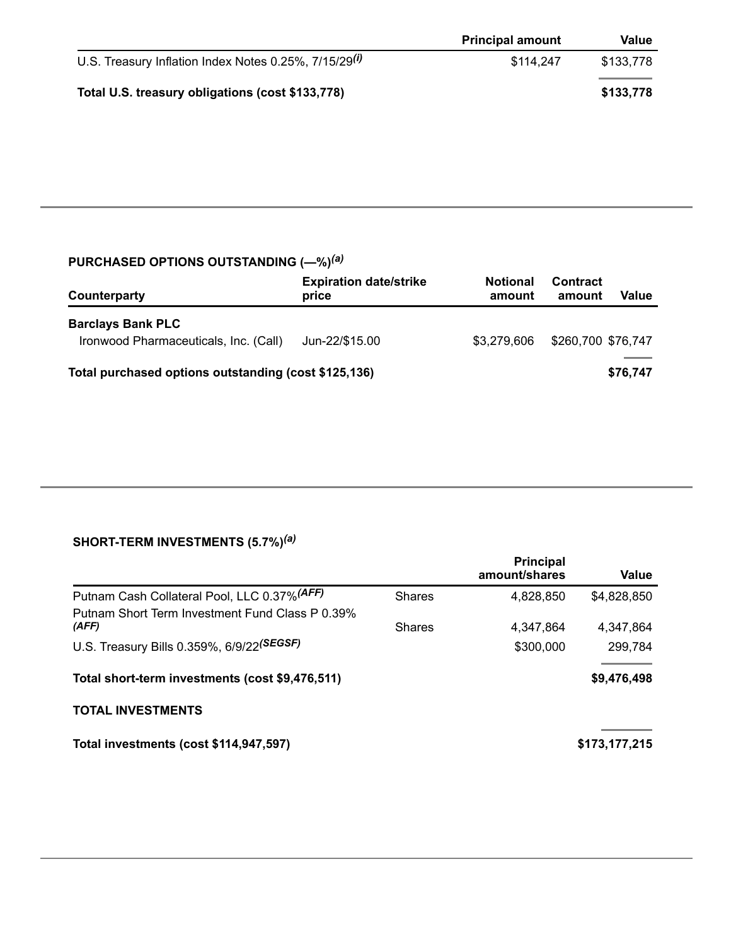|                                                                   | <b>Principal amount</b> | Value     |
|-------------------------------------------------------------------|-------------------------|-----------|
| U.S. Treasury Inflation Index Notes 0.25%, 7/15/29 <sup>(i)</sup> | \$114,247               | \$133.778 |
| Total U.S. treasury obligations (cost \$133,778)                  |                         | \$133,778 |

#### **PURCHASED OPTIONS OUTSTANDING (—%)** *(a)*

| Counterparty                                                      | <b>Expiration date/strike</b><br>price | <b>Notional</b><br>amount | <b>Contract</b><br>amount | Value    |
|-------------------------------------------------------------------|----------------------------------------|---------------------------|---------------------------|----------|
| <b>Barclays Bank PLC</b><br>Ironwood Pharmaceuticals, Inc. (Call) | Jun-22/\$15.00                         | \$3,279,606               | \$260,700 \$76,747        |          |
| Total purchased options outstanding (cost \$125,136)              |                                        |                           |                           | \$76,747 |

#### **SHORT-TERM INVESTMENTS (5.7%)** *(a)*

|                                                          |               | <b>Principal</b><br>amount/shares | Value         |
|----------------------------------------------------------|---------------|-----------------------------------|---------------|
| Putnam Cash Collateral Pool, LLC 0.37% (AFF)             | <b>Shares</b> | 4,828,850                         | \$4,828,850   |
| Putnam Short Term Investment Fund Class P 0.39%<br>(AFF) | Shares        | 4.347.864                         | 4.347.864     |
| U.S. Treasury Bills 0.359%, 6/9/22(SEGSF)                |               | \$300,000                         | 299,784       |
| Total short-term investments (cost \$9,476,511)          |               |                                   | \$9,476,498   |
| <b>TOTAL INVESTMENTS</b>                                 |               |                                   |               |
| Total investments (cost \$114,947,597)                   |               |                                   | \$173,177,215 |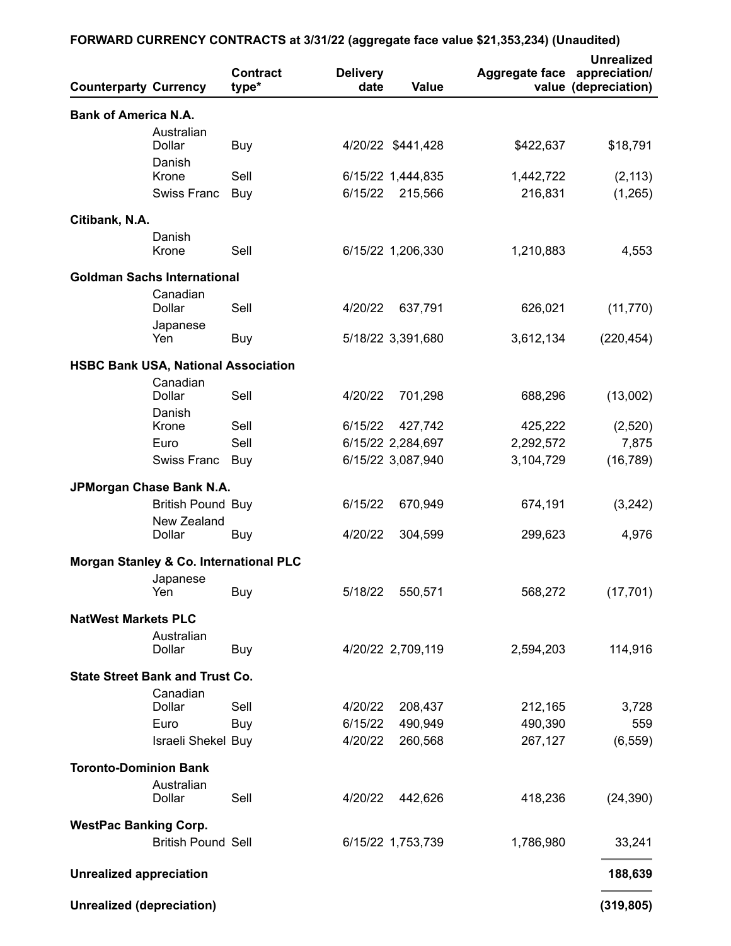## **FORWARD CURRENCY CONTRACTS at 3/31/22 (aggregate face value \$21,353,234) (Unaudited)**

| <b>Counterparty Currency</b>               |                                         | <b>Contract</b><br>type* | <b>Delivery</b><br>date | Value                                  | <b>Aggregate face</b>  | <b>Unrealized</b><br>appreciation/<br>value (depreciation) |
|--------------------------------------------|-----------------------------------------|--------------------------|-------------------------|----------------------------------------|------------------------|------------------------------------------------------------|
| <b>Bank of America N.A.</b>                |                                         |                          |                         |                                        |                        |                                                            |
|                                            | Australian                              |                          |                         |                                        |                        |                                                            |
|                                            | Dollar                                  | Buy                      |                         | 4/20/22 \$441,428                      | \$422,637              | \$18,791                                                   |
|                                            | Danish<br>Krone                         | Sell                     |                         | 6/15/22 1,444,835                      | 1,442,722              | (2, 113)                                                   |
|                                            | <b>Swiss Franc</b>                      | Buy                      | 6/15/22                 | 215,566                                | 216,831                | (1,265)                                                    |
| Citibank, N.A.                             |                                         |                          |                         |                                        |                        |                                                            |
|                                            | Danish                                  |                          |                         |                                        |                        |                                                            |
|                                            | Krone                                   | Sell                     |                         | 6/15/22 1,206,330                      | 1,210,883              | 4,553                                                      |
| <b>Goldman Sachs International</b>         |                                         |                          |                         |                                        |                        |                                                            |
|                                            | Canadian                                |                          |                         |                                        |                        |                                                            |
|                                            | Dollar                                  | Sell                     | 4/20/22                 | 637,791                                | 626,021                | (11, 770)                                                  |
|                                            | Japanese<br>Yen                         | Buy                      |                         | 5/18/22 3,391,680                      | 3,612,134              | (220, 454)                                                 |
|                                            |                                         |                          |                         |                                        |                        |                                                            |
| <b>HSBC Bank USA, National Association</b> | Canadian                                |                          |                         |                                        |                        |                                                            |
|                                            | Dollar                                  | Sell                     | 4/20/22                 | 701,298                                | 688,296                | (13,002)                                                   |
|                                            | Danish                                  |                          |                         |                                        |                        |                                                            |
|                                            | Krone                                   | Sell<br>Sell             | 6/15/22                 | 427,742                                | 425,222                | (2,520)                                                    |
|                                            | Euro<br>Swiss Franc                     | Buy                      |                         | 6/15/22 2,284,697<br>6/15/22 3,087,940 | 2,292,572<br>3,104,729 | 7,875<br>(16, 789)                                         |
|                                            |                                         |                          |                         |                                        |                        |                                                            |
| JPMorgan Chase Bank N.A.                   |                                         |                          |                         |                                        |                        |                                                            |
|                                            | <b>British Pound Buy</b><br>New Zealand |                          | 6/15/22                 | 670,949                                | 674,191                | (3,242)                                                    |
|                                            | Dollar                                  | Buy                      | 4/20/22                 | 304,599                                | 299,623                | 4,976                                                      |
| Morgan Stanley & Co. International PLC     |                                         |                          |                         |                                        |                        |                                                            |
|                                            | Japanese                                |                          |                         |                                        |                        |                                                            |
|                                            | Yen                                     | Buy                      | 5/18/22                 | 550,571                                | 568,272                | (17, 701)                                                  |
| <b>NatWest Markets PLC</b>                 |                                         |                          |                         |                                        |                        |                                                            |
|                                            | Australian                              |                          |                         |                                        |                        |                                                            |
|                                            | Dollar                                  | Buy                      |                         | 4/20/22 2,709,119                      | 2,594,203              | 114,916                                                    |
| <b>State Street Bank and Trust Co.</b>     |                                         |                          |                         |                                        |                        |                                                            |
|                                            | Canadian<br><b>Dollar</b>               |                          |                         |                                        |                        |                                                            |
|                                            | Euro                                    | Sell<br>Buy              | 4/20/22<br>6/15/22      | 208,437<br>490,949                     | 212,165<br>490,390     | 3,728<br>559                                               |
|                                            | Israeli Shekel Buy                      |                          | 4/20/22                 | 260,568                                | 267,127                | (6, 559)                                                   |
|                                            |                                         |                          |                         |                                        |                        |                                                            |
| <b>Toronto-Dominion Bank</b>               | Australian                              |                          |                         |                                        |                        |                                                            |
|                                            | Dollar                                  | Sell                     | 4/20/22                 | 442,626                                | 418,236                | (24, 390)                                                  |
| <b>WestPac Banking Corp.</b>               |                                         |                          |                         |                                        |                        |                                                            |
|                                            | <b>British Pound Sell</b>               |                          |                         | 6/15/22 1,753,739                      | 1,786,980              | 33,241                                                     |
|                                            |                                         |                          |                         |                                        |                        |                                                            |
| <b>Unrealized appreciation</b>             |                                         |                          |                         |                                        |                        | 188,639                                                    |
| <b>Unrealized (depreciation)</b>           |                                         |                          |                         |                                        |                        | (319, 805)                                                 |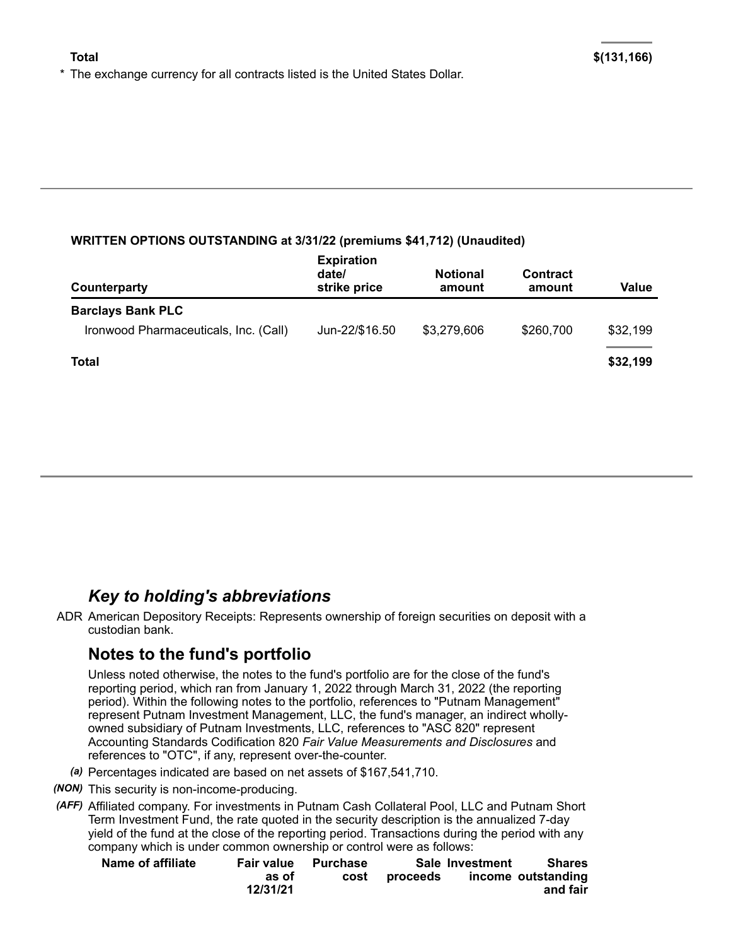\* The exchange currency for all contracts listed is the United States Dollar.

#### **WRITTEN OPTIONS OUTSTANDING at 3/31/22 (premiums \$41,712) (Unaudited)**

| Counterparty                                                      | <b>Expiration</b><br>date/<br>strike price | <b>Notional</b><br>amount | <b>Contract</b><br>amount | Value    |
|-------------------------------------------------------------------|--------------------------------------------|---------------------------|---------------------------|----------|
| <b>Barclays Bank PLC</b><br>Ironwood Pharmaceuticals, Inc. (Call) | Jun-22/\$16.50                             | \$3,279,606               | \$260,700                 | \$32,199 |
| <b>Total</b>                                                      |                                            |                           |                           | \$32,199 |

## *Key to holding's abbreviations*

ADR American Depository Receipts: Represents ownership of foreign securities on deposit with a custodian bank.

## **Notes to the fund's portfolio**

Unless noted otherwise, the notes to the fund's portfolio are for the close of the fund's reporting period, which ran from January 1, 2022 through March 31, 2022 (the reporting period). Within the following notes to the portfolio, references to "Putnam Management" represent Putnam Investment Management, LLC, the fund's manager, an indirect whollyowned subsidiary of Putnam Investments, LLC, references to "ASC 820" represent Accounting Standards Codification 820 *Fair Value Measurements and Disclosures* and references to "OTC", if any, represent over-the-counter.

- *(a)* Percentages indicated are based on net assets of \$167,541,710.
- *(NON)* This security is non-income-producing.
- *(AFF)* Affiliated company. For investments in Putnam Cash Collateral Pool, LLC and Putnam Short Term Investment Fund, the rate quoted in the security description is the annualized 7-day yield of the fund at the close of the reporting period. Transactions during the period with any company which is under common ownership or control were as follows:

| Name of affiliate |          | Fair value Purchase |          | Sale Investment | Shares             |
|-------------------|----------|---------------------|----------|-----------------|--------------------|
|                   | as of    | cost                | proceeds |                 | income outstanding |
|                   | 12/31/21 |                     |          |                 | and fair           |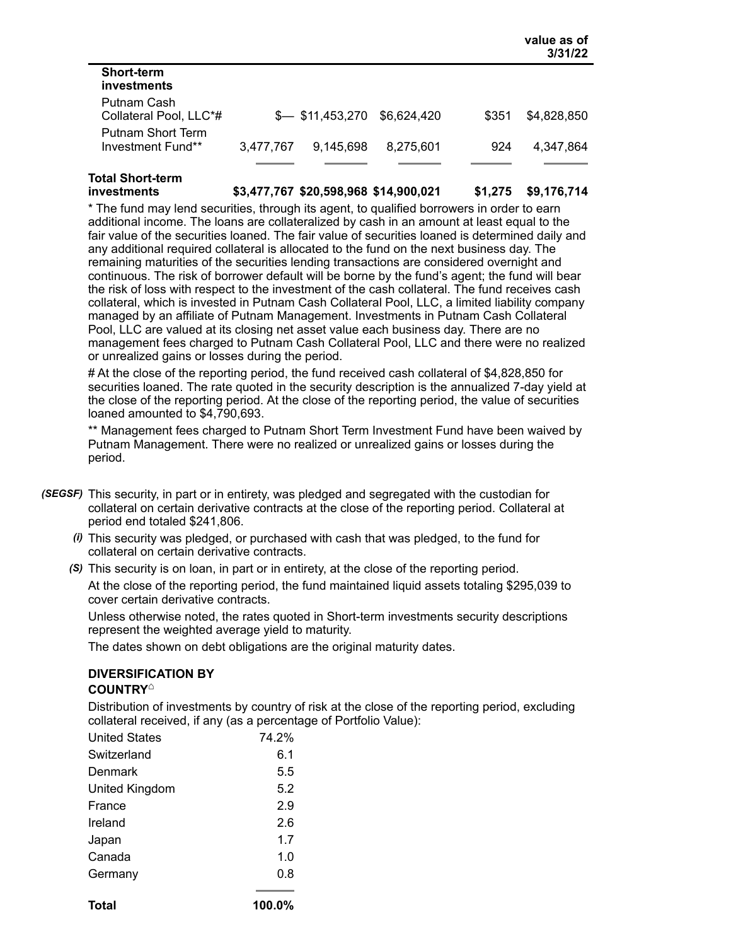|                                        |           |                            |             |       | value as of<br>3/31/22 |
|----------------------------------------|-----------|----------------------------|-------------|-------|------------------------|
| <b>Short-term</b><br>investments       |           |                            |             |       |                        |
| Putnam Cash<br>Collateral Pool, LLC*#  |           | $\frac{1}{2}$ \$11,453,270 | \$6,624,420 | \$351 | \$4,828,850            |
| Putnam Short Term<br>Investment Fund** | 3,477,767 | 9,145,698                  | 8.275.601   | 924   | 4.347.864              |

# **Total Short-term**

**investments \$3,477,767 \$20,598,968 \$14,900,021 \$1,275 \$9,176,714**

\* The fund may lend securities, through its agent, to qualified borrowers in order to earn additional income. The loans are collateralized by cash in an amount at least equal to the fair value of the securities loaned. The fair value of securities loaned is determined daily and any additional required collateral is allocated to the fund on the next business day. The remaining maturities of the securities lending transactions are considered overnight and continuous. The risk of borrower default will be borne by the fund's agent; the fund will bear the risk of loss with respect to the investment of the cash collateral. The fund receives cash collateral, which is invested in Putnam Cash Collateral Pool, LLC, a limited liability company managed by an affiliate of Putnam Management. Investments in Putnam Cash Collateral Pool, LLC are valued at its closing net asset value each business day. There are no management fees charged to Putnam Cash Collateral Pool, LLC and there were no realized or unrealized gains or losses during the period.

# At the close of the reporting period, the fund received cash collateral of \$4,828,850 for securities loaned. The rate quoted in the security description is the annualized 7-day yield at the close of the reporting period. At the close of the reporting period, the value of securities loaned amounted to \$4,790,693.

\*\* Management fees charged to Putnam Short Term Investment Fund have been waived by Putnam Management. There were no realized or unrealized gains or losses during the period.

- *(SEGSF)* This security, in part or in entirety, was pledged and segregated with the custodian for collateral on certain derivative contracts at the close of the reporting period. Collateral at period end totaled \$241,806.
	- *(i)* This security was pledged, or purchased with cash that was pledged, to the fund for collateral on certain derivative contracts.
	- *(S)* This security is on loan, in part or in entirety, at the close of the reporting period. At the close of the reporting period, the fund maintained liquid assets totaling \$295,039 to cover certain derivative contracts.

Unless otherwise noted, the rates quoted in Short-term investments security descriptions represent the weighted average yield to maturity.

The dates shown on debt obligations are the original maturity dates.

## **DIVERSIFICATION BY**

#### **COUNTRY ⌂**

Distribution of investments by country of risk at the close of the reporting period, excluding collateral received, if any (as a percentage of Portfolio Value):

| <b>United States</b> | 74.2%     |
|----------------------|-----------|
| Switzerland          | 6.1       |
| Denmark              | 5.5       |
| United Kingdom       | 5.2       |
| France               | 2.9       |
| Ireland              | 2.6       |
| Japan                | 1.7       |
| Canada               | 1.0       |
| Germany              | 0.8       |
| Total                | $100.0\%$ |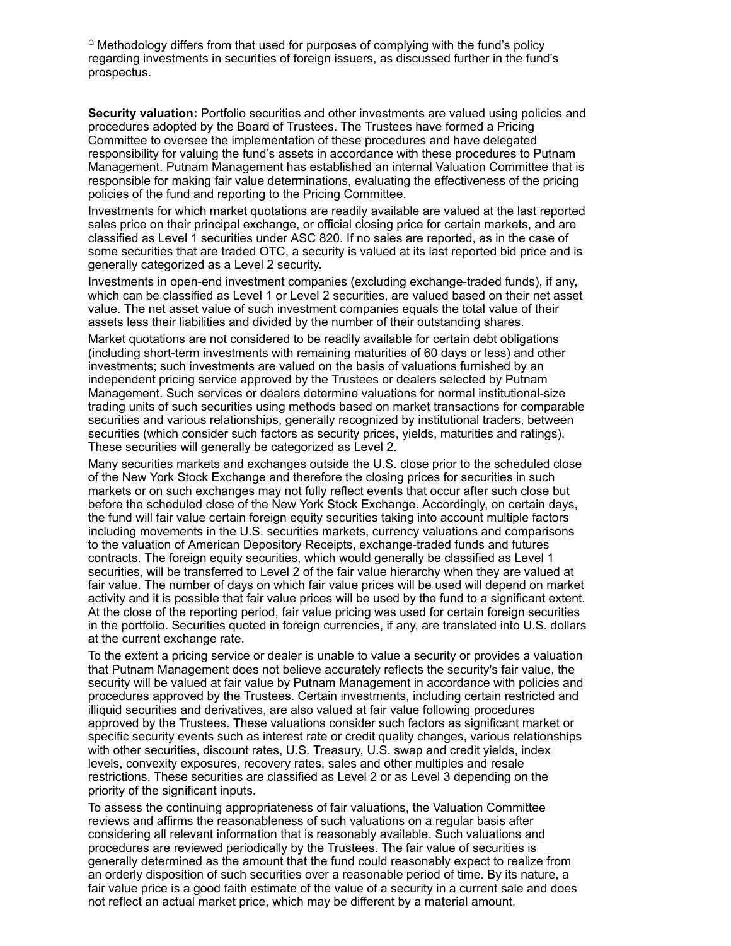$\degree$  Methodology differs from that used for purposes of complying with the fund's policy regarding investments in securities of foreign issuers, as discussed further in the fund's prospectus.

**Security valuation:** Portfolio securities and other investments are valued using policies and procedures adopted by the Board of Trustees. The Trustees have formed a Pricing Committee to oversee the implementation of these procedures and have delegated responsibility for valuing the fund's assets in accordance with these procedures to Putnam Management. Putnam Management has established an internal Valuation Committee that is responsible for making fair value determinations, evaluating the effectiveness of the pricing policies of the fund and reporting to the Pricing Committee.

Investments for which market quotations are readily available are valued at the last reported sales price on their principal exchange, or official closing price for certain markets, and are classified as Level 1 securities under ASC 820. If no sales are reported, as in the case of some securities that are traded OTC, a security is valued at its last reported bid price and is generally categorized as a Level 2 security.

Investments in open-end investment companies (excluding exchange-traded funds), if any, which can be classified as Level 1 or Level 2 securities, are valued based on their net asset value. The net asset value of such investment companies equals the total value of their assets less their liabilities and divided by the number of their outstanding shares.

Market quotations are not considered to be readily available for certain debt obligations (including short-term investments with remaining maturities of 60 days or less) and other investments; such investments are valued on the basis of valuations furnished by an independent pricing service approved by the Trustees or dealers selected by Putnam Management. Such services or dealers determine valuations for normal institutional-size trading units of such securities using methods based on market transactions for comparable securities and various relationships, generally recognized by institutional traders, between securities (which consider such factors as security prices, yields, maturities and ratings). These securities will generally be categorized as Level 2.

Many securities markets and exchanges outside the U.S. close prior to the scheduled close of the New York Stock Exchange and therefore the closing prices for securities in such markets or on such exchanges may not fully reflect events that occur after such close but before the scheduled close of the New York Stock Exchange. Accordingly, on certain days, the fund will fair value certain foreign equity securities taking into account multiple factors including movements in the U.S. securities markets, currency valuations and comparisons to the valuation of American Depository Receipts, exchange-traded funds and futures contracts. The foreign equity securities, which would generally be classified as Level 1 securities, will be transferred to Level 2 of the fair value hierarchy when they are valued at fair value. The number of days on which fair value prices will be used will depend on market activity and it is possible that fair value prices will be used by the fund to a significant extent. At the close of the reporting period, fair value pricing was used for certain foreign securities in the portfolio. Securities quoted in foreign currencies, if any, are translated into U.S. dollars at the current exchange rate.

To the extent a pricing service or dealer is unable to value a security or provides a valuation that Putnam Management does not believe accurately reflects the security's fair value, the security will be valued at fair value by Putnam Management in accordance with policies and procedures approved by the Trustees. Certain investments, including certain restricted and illiquid securities and derivatives, are also valued at fair value following procedures approved by the Trustees. These valuations consider such factors as significant market or specific security events such as interest rate or credit quality changes, various relationships with other securities, discount rates, U.S. Treasury, U.S. swap and credit yields, index levels, convexity exposures, recovery rates, sales and other multiples and resale restrictions. These securities are classified as Level 2 or as Level 3 depending on the priority of the significant inputs.

To assess the continuing appropriateness of fair valuations, the Valuation Committee reviews and affirms the reasonableness of such valuations on a regular basis after considering all relevant information that is reasonably available. Such valuations and procedures are reviewed periodically by the Trustees. The fair value of securities is generally determined as the amount that the fund could reasonably expect to realize from an orderly disposition of such securities over a reasonable period of time. By its nature, a fair value price is a good faith estimate of the value of a security in a current sale and does not reflect an actual market price, which may be different by a material amount.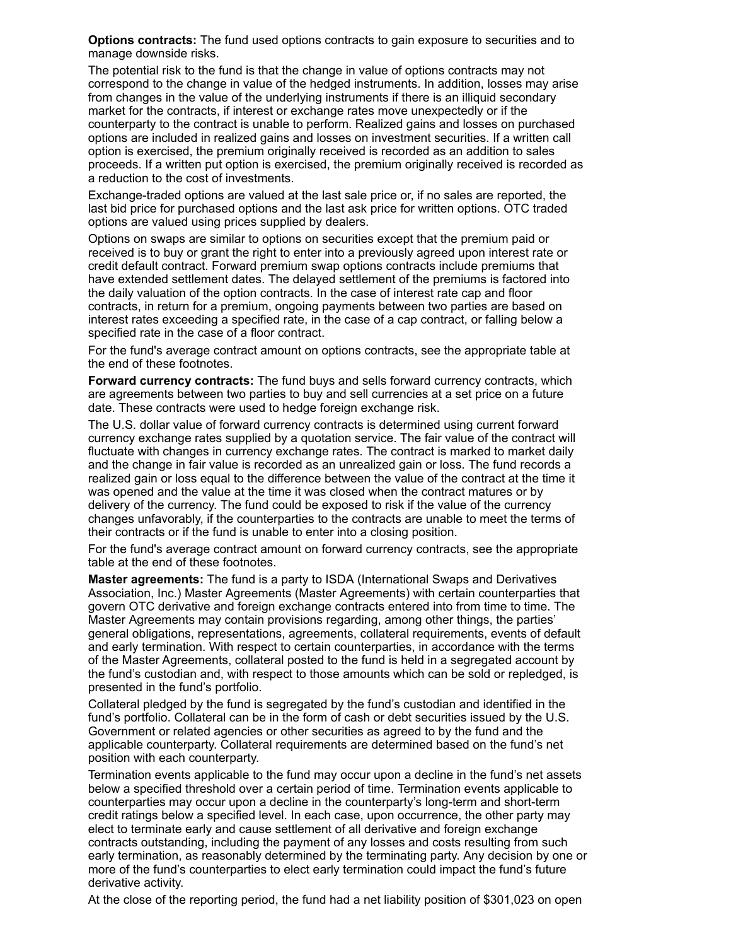**Options contracts:** The fund used options contracts to gain exposure to securities and to manage downside risks.

The potential risk to the fund is that the change in value of options contracts may not correspond to the change in value of the hedged instruments. In addition, losses may arise from changes in the value of the underlying instruments if there is an illiquid secondary market for the contracts, if interest or exchange rates move unexpectedly or if the counterparty to the contract is unable to perform. Realized gains and losses on purchased options are included in realized gains and losses on investment securities. If a written call option is exercised, the premium originally received is recorded as an addition to sales proceeds. If a written put option is exercised, the premium originally received is recorded as a reduction to the cost of investments.

Exchange-traded options are valued at the last sale price or, if no sales are reported, the last bid price for purchased options and the last ask price for written options. OTC traded options are valued using prices supplied by dealers.

Options on swaps are similar to options on securities except that the premium paid or received is to buy or grant the right to enter into a previously agreed upon interest rate or credit default contract. Forward premium swap options contracts include premiums that have extended settlement dates. The delayed settlement of the premiums is factored into the daily valuation of the option contracts. In the case of interest rate cap and floor contracts, in return for a premium, ongoing payments between two parties are based on interest rates exceeding a specified rate, in the case of a cap contract, or falling below a specified rate in the case of a floor contract.

For the fund's average contract amount on options contracts, see the appropriate table at the end of these footnotes.

**Forward currency contracts:** The fund buys and sells forward currency contracts, which are agreements between two parties to buy and sell currencies at a set price on a future date. These contracts were used to hedge foreign exchange risk.

The U.S. dollar value of forward currency contracts is determined using current forward currency exchange rates supplied by a quotation service. The fair value of the contract will fluctuate with changes in currency exchange rates. The contract is marked to market daily and the change in fair value is recorded as an unrealized gain or loss. The fund records a realized gain or loss equal to the difference between the value of the contract at the time it was opened and the value at the time it was closed when the contract matures or by delivery of the currency. The fund could be exposed to risk if the value of the currency changes unfavorably, if the counterparties to the contracts are unable to meet the terms of their contracts or if the fund is unable to enter into a closing position.

For the fund's average contract amount on forward currency contracts, see the appropriate table at the end of these footnotes.

**Master agreements:** The fund is a party to ISDA (International Swaps and Derivatives Association, Inc.) Master Agreements (Master Agreements) with certain counterparties that govern OTC derivative and foreign exchange contracts entered into from time to time. The Master Agreements may contain provisions regarding, among other things, the parties' general obligations, representations, agreements, collateral requirements, events of default and early termination. With respect to certain counterparties, in accordance with the terms of the Master Agreements, collateral posted to the fund is held in a segregated account by the fund's custodian and, with respect to those amounts which can be sold or repledged, is presented in the fund's portfolio.

Collateral pledged by the fund is segregated by the fund's custodian and identified in the fund's portfolio. Collateral can be in the form of cash or debt securities issued by the U.S. Government or related agencies or other securities as agreed to by the fund and the applicable counterparty. Collateral requirements are determined based on the fund's net position with each counterparty.

Termination events applicable to the fund may occur upon a decline in the fund's net assets below a specified threshold over a certain period of time. Termination events applicable to counterparties may occur upon a decline in the counterparty's long-term and short-term credit ratings below a specified level. In each case, upon occurrence, the other party may elect to terminate early and cause settlement of all derivative and foreign exchange contracts outstanding, including the payment of any losses and costs resulting from such early termination, as reasonably determined by the terminating party. Any decision by one or more of the fund's counterparties to elect early termination could impact the fund's future derivative activity.

At the close of the reporting period, the fund had a net liability position of \$301,023 on open